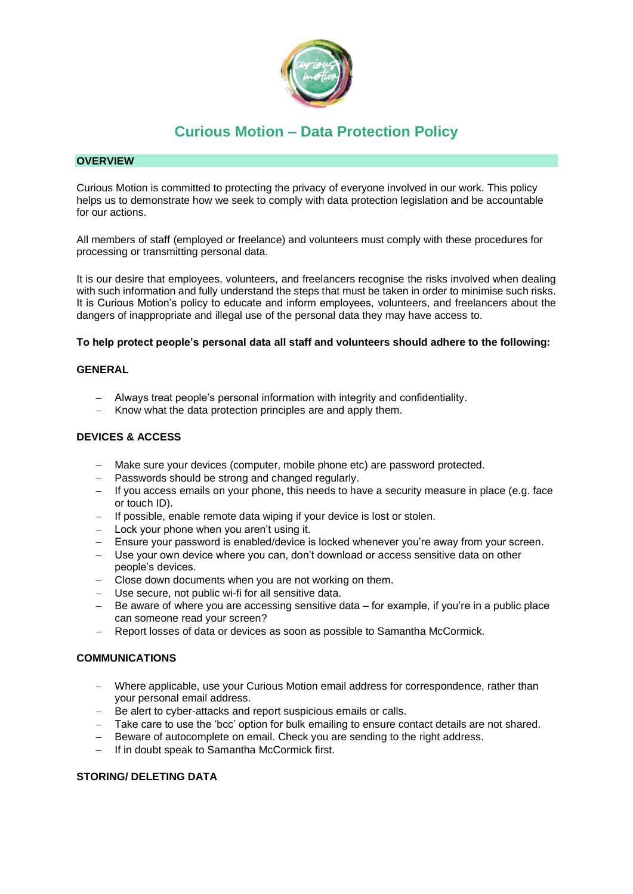

## **OVERVIEW**

Curious Motion is committed to protecting the privacy of everyone involved in our work. This policy helps us to demonstrate how we seek to comply with data protection legislation and be accountable for our actions.

All members of staff (employed or freelance) and volunteers must comply with these procedures for processing or transmitting personal data.

It is our desire that employees, volunteers, and freelancers recognise the risks involved when dealing with such information and fully understand the steps that must be taken in order to minimise such risks. It is Curious Motion's policy to educate and inform employees, volunteers, and freelancers about the dangers of inappropriate and illegal use of the personal data they may have access to.

#### **To help protect people's personal data all staff and volunteers should adhere to the following:**

## **GENERAL**

- − Always treat people's personal information with integrity and confidentiality.
- Know what the data protection principles are and apply them.

### **DEVICES & ACCESS**

- − Make sure your devices (computer, mobile phone etc) are password protected.
- − Passwords should be strong and changed regularly.
- − If you access emails on your phone, this needs to have a security measure in place (e.g. face or touch ID).
- − If possible, enable remote data wiping if your device is lost or stolen.
- − Lock your phone when you aren't using it.
- − Ensure your password is enabled/device is locked whenever you're away from your screen.
- − Use your own device where you can, don't download or access sensitive data on other people's devices.
- Close down documents when you are not working on them.
- − Use secure, not public wi-fi for all sensitive data.
- Be aware of where you are accessing sensitive data for example, if you're in a public place can someone read your screen?
- Report losses of data or devices as soon as possible to Samantha McCormick.

### **COMMUNICATIONS**

- − Where applicable, use your Curious Motion email address for correspondence, rather than your personal email address.
- − Be alert to cyber-attacks and report suspicious emails or calls.
- − Take care to use the 'bcc' option for bulk emailing to ensure contact details are not shared.
- Beware of autocomplete on email. Check you are sending to the right address.
- − If in doubt speak to Samantha McCormick first.

### **STORING/ DELETING DATA**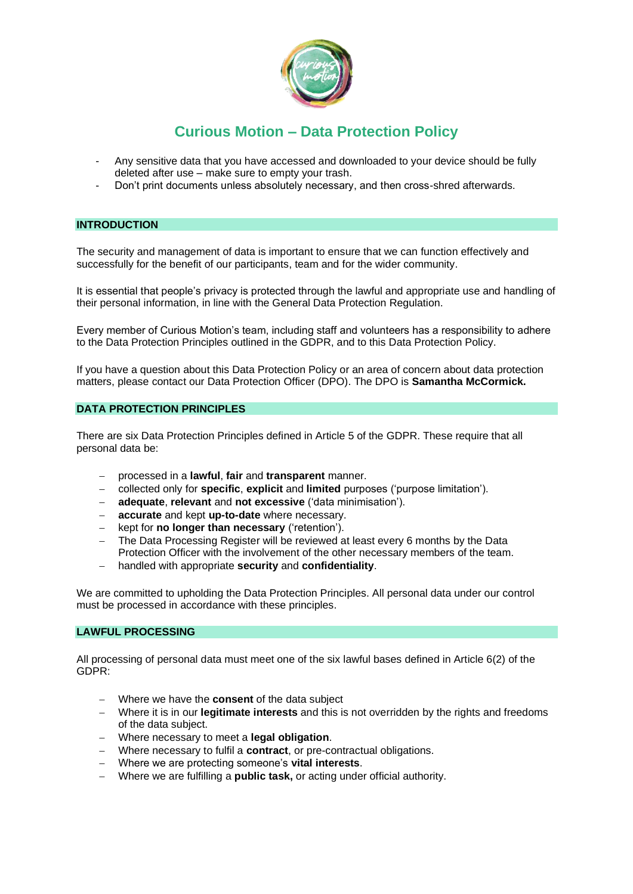

- Any sensitive data that you have accessed and downloaded to your device should be fully deleted after use – make sure to empty your trash.
- Don't print documents unless absolutely necessary, and then cross-shred afterwards.

#### **INTRODUCTION**

The security and management of data is important to ensure that we can function effectively and successfully for the benefit of our participants, team and for the wider community.

It is essential that people's privacy is protected through the lawful and appropriate use and handling of their personal information, in line with the General Data Protection Regulation.

Every member of Curious Motion's team, including staff and volunteers has a responsibility to adhere to the Data Protection Principles outlined in the GDPR, and to this Data Protection Policy.

If you have a question about this Data Protection Policy or an area of concern about data protection matters, please contact our Data Protection Officer (DPO). The DPO is **Samantha McCormick.**

#### **DATA PROTECTION PRINCIPLES**

There are six Data Protection Principles defined in Article 5 of the GDPR. These require that all personal data be:

- − processed in a **lawful**, **fair** and **transparent** manner.
- − collected only for **specific**, **explicit** and **limited** purposes ('purpose limitation').
- − **adequate**, **relevant** and **not excessive** ('data minimisation').
- − **accurate** and kept **up-to-date** where necessary.
- − kept for **no longer than necessary** ('retention').
- The Data Processing Register will be reviewed at least every 6 months by the Data Protection Officer with the involvement of the other necessary members of the team.
- − handled with appropriate **security** and **confidentiality**.

We are committed to upholding the Data Protection Principles. All personal data under our control must be processed in accordance with these principles.

#### **LAWFUL PROCESSING**

All processing of personal data must meet one of the six lawful bases defined in Article 6(2) of the GDPR:

- − Where we have the **consent** of the data subject
- − Where it is in our **legitimate interests** and this is not overridden by the rights and freedoms of the data subject.
- − Where necessary to meet a **legal obligation**.
- − Where necessary to fulfil a **contract**, or pre-contractual obligations.
- − Where we are protecting someone's **vital interests**.
- − Where we are fulfilling a **public task,** or acting under official authority.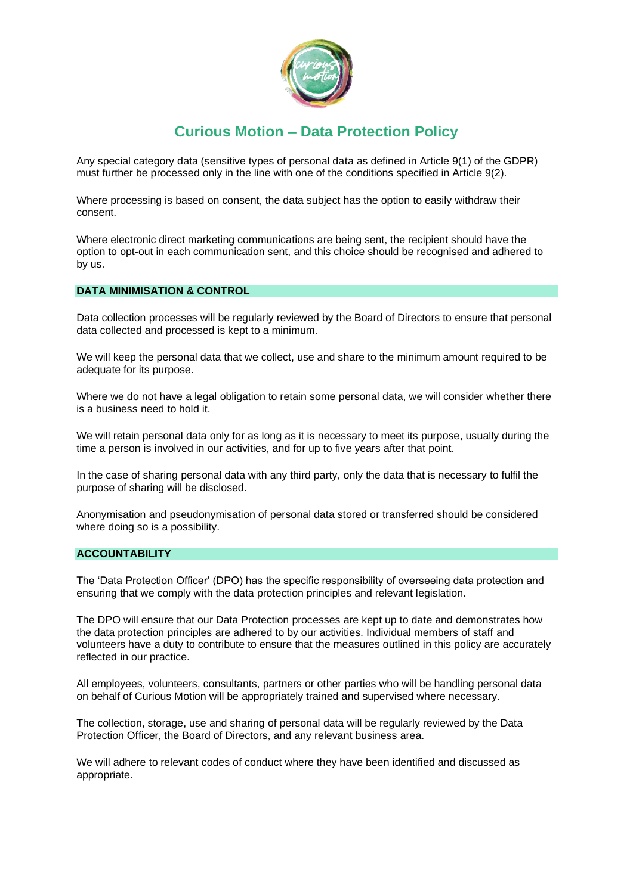

Any special category data (sensitive types of personal data as defined in Article 9(1) of the GDPR) must further be processed only in the line with one of the conditions specified in Article 9(2).

Where processing is based on consent, the data subject has the option to easily withdraw their consent.

Where electronic direct marketing communications are being sent, the recipient should have the option to opt-out in each communication sent, and this choice should be recognised and adhered to by us.

#### **DATA MINIMISATION & CONTROL**

Data collection processes will be regularly reviewed by the Board of Directors to ensure that personal data collected and processed is kept to a minimum.

We will keep the personal data that we collect, use and share to the minimum amount required to be adequate for its purpose.

Where we do not have a legal obligation to retain some personal data, we will consider whether there is a business need to hold it.

We will retain personal data only for as long as it is necessary to meet its purpose, usually during the time a person is involved in our activities, and for up to five years after that point.

In the case of sharing personal data with any third party, only the data that is necessary to fulfil the purpose of sharing will be disclosed.

Anonymisation and pseudonymisation of personal data stored or transferred should be considered where doing so is a possibility.

## **ACCOUNTABILITY**

The 'Data Protection Officer' (DPO) has the specific responsibility of overseeing data protection and ensuring that we comply with the data protection principles and relevant legislation.

The DPO will ensure that our Data Protection processes are kept up to date and demonstrates how the data protection principles are adhered to by our activities. Individual members of staff and volunteers have a duty to contribute to ensure that the measures outlined in this policy are accurately reflected in our practice.

All employees, volunteers, consultants, partners or other parties who will be handling personal data on behalf of Curious Motion will be appropriately trained and supervised where necessary.

The collection, storage, use and sharing of personal data will be regularly reviewed by the Data Protection Officer, the Board of Directors, and any relevant business area.

We will adhere to relevant codes of conduct where they have been identified and discussed as appropriate.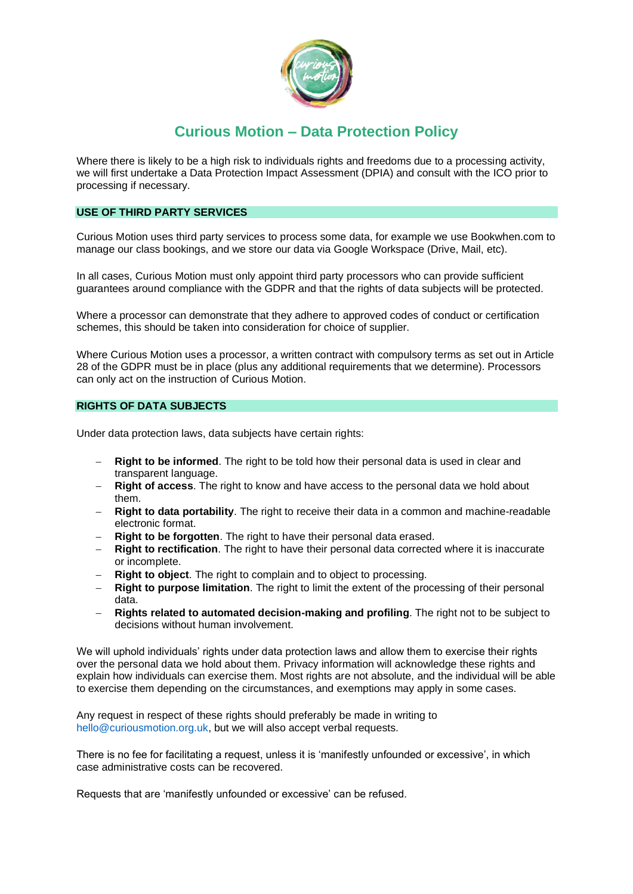

Where there is likely to be a high risk to individuals rights and freedoms due to a processing activity, we will first undertake a Data Protection Impact Assessment (DPIA) and consult with the ICO prior to processing if necessary.

## **USE OF THIRD PARTY SERVICES**

Curious Motion uses third party services to process some data, for example we use Bookwhen.com to manage our class bookings, and we store our data via Google Workspace (Drive, Mail, etc).

In all cases, Curious Motion must only appoint third party processors who can provide sufficient guarantees around compliance with the GDPR and that the rights of data subjects will be protected.

Where a processor can demonstrate that they adhere to approved codes of conduct or certification schemes, this should be taken into consideration for choice of supplier.

Where Curious Motion uses a processor, a written contract with compulsory terms as set out in Article 28 of the GDPR must be in place (plus any additional requirements that we determine). Processors can only act on the instruction of Curious Motion.

### **RIGHTS OF DATA SUBJECTS**

Under data protection laws, data subjects have certain rights:

- **Right to be informed**. The right to be told how their personal data is used in clear and transparent language.
- **Right of access.** The right to know and have access to the personal data we hold about them.
- **Right to data portability**. The right to receive their data in a common and machine-readable electronic format.
- **Right to be forgotten**. The right to have their personal data erased.
- − **Right to rectification**. The right to have their personal data corrected where it is inaccurate or incomplete.
- **Right to object**. The right to complain and to object to processing.
- − **Right to purpose limitation**. The right to limit the extent of the processing of their personal data.
- − **Rights related to automated decision-making and profiling**. The right not to be subject to decisions without human involvement.

We will uphold individuals' rights under data protection laws and allow them to exercise their rights over the personal data we hold about them. Privacy information will acknowledge these rights and explain how individuals can exercise them. Most rights are not absolute, and the individual will be able to exercise them depending on the circumstances, and exemptions may apply in some cases.

Any request in respect of these rights should preferably be made in writing to hello@curiousmotion.org.uk, but we will also accept verbal requests.

There is no fee for facilitating a request, unless it is 'manifestly unfounded or excessive', in which case administrative costs can be recovered.

Requests that are 'manifestly unfounded or excessive' can be refused.